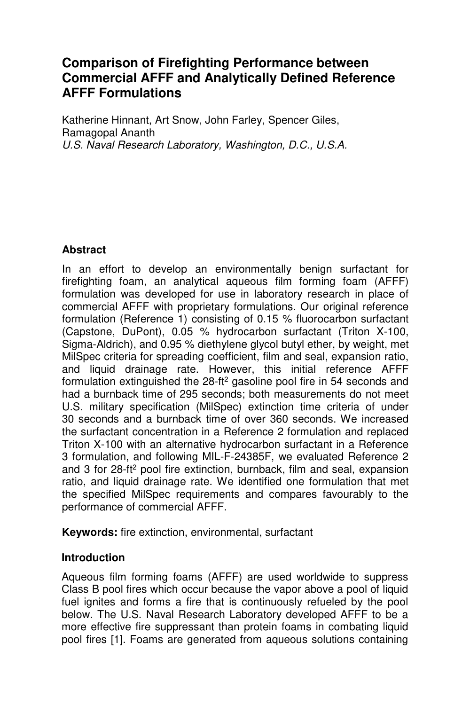# **Comparison of Firefighting Performance between Commercial AFFF and Analytically Defined Reference AFFF Formulations**

Katherine Hinnant, Art Snow, John Farley, Spencer Giles, Ramagopal Ananth *U.S. Naval Research Laboratory, Washington, D.C., U.S.A.* 

## **Abstract**

In an effort to develop an environmentally benign surfactant for firefighting foam, an analytical aqueous film forming foam (AFFF) formulation was developed for use in laboratory research in place of commercial AFFF with proprietary formulations. Our original reference formulation (Reference 1) consisting of 0.15 % fluorocarbon surfactant (Capstone, DuPont), 0.05 % hydrocarbon surfactant (Triton X-100, Sigma-Aldrich), and 0.95 % diethylene glycol butyl ether, by weight, met MilSpec criteria for spreading coefficient, film and seal, expansion ratio, and liquid drainage rate. However, this initial reference AFFF formulation extinguished the 28-ft<sup>2</sup> gasoline pool fire in 54 seconds and had a burnback time of 295 seconds; both measurements do not meet U.S. military specification (MilSpec) extinction time criteria of under 30 seconds and a burnback time of over 360 seconds. We increased the surfactant concentration in a Reference 2 formulation and replaced Triton X-100 with an alternative hydrocarbon surfactant in a Reference 3 formulation, and following MIL-F-24385F, we evaluated Reference 2 and 3 for 28-ft<sup>2</sup> pool fire extinction, burnback, film and seal, expansion ratio, and liquid drainage rate. We identified one formulation that met the specified MilSpec requirements and compares favourably to the performance of commercial AFFF.

**Keywords:** fire extinction, environmental, surfactant

## **Introduction**

Aqueous film forming foams (AFFF) are used worldwide to suppress Class B pool fires which occur because the vapor above a pool of liquid fuel ignites and forms a fire that is continuously refueled by the pool below. The U.S. Naval Research Laboratory developed AFFF to be a more effective fire suppressant than protein foams in combating liquid pool fires [1]. Foams are generated from aqueous solutions containing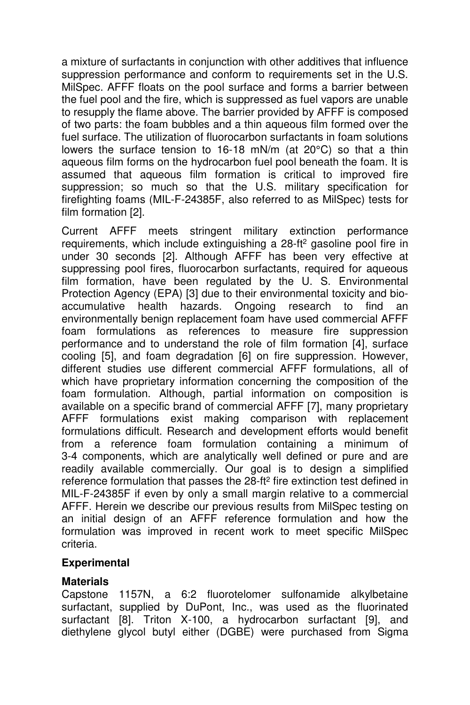a mixture of surfactants in conjunction with other additives that influence suppression performance and conform to requirements set in the U.S. MilSpec. AFFF floats on the pool surface and forms a barrier between the fuel pool and the fire, which is suppressed as fuel vapors are unable to resupply the flame above. The barrier provided by AFFF is composed of two parts: the foam bubbles and a thin aqueous film formed over the fuel surface. The utilization of fluorocarbon surfactants in foam solutions lowers the surface tension to 16-18 mN/m (at 20°C) so that a thin aqueous film forms on the hydrocarbon fuel pool beneath the foam. It is assumed that aqueous film formation is critical to improved fire suppression; so much so that the U.S. military specification for firefighting foams (MIL-F-24385F, also referred to as MilSpec) tests for film formation [2].

Current AFFF meets stringent military extinction performance requirements, which include extinguishing a 28-ft<sup>2</sup> gasoline pool fire in under 30 seconds [2]. Although AFFF has been very effective at suppressing pool fires, fluorocarbon surfactants, required for aqueous film formation, have been regulated by the U. S. Environmental Protection Agency (EPA) [3] due to their environmental toxicity and bioaccumulative health hazards. Ongoing research to find an environmentally benign replacement foam have used commercial AFFF foam formulations as references to measure fire suppression performance and to understand the role of film formation [4], surface cooling [5], and foam degradation [6] on fire suppression. However, different studies use different commercial AFFF formulations, all of which have proprietary information concerning the composition of the foam formulation. Although, partial information on composition is available on a specific brand of commercial AFFF [7], many proprietary AFFF formulations exist making comparison with replacement formulations difficult. Research and development efforts would benefit from a reference foam formulation containing a minimum of 3-4 components, which are analytically well defined or pure and are readily available commercially. Our goal is to design a simplified reference formulation that passes the  $28$ -ft<sup>2</sup> fire extinction test defined in MIL-F-24385F if even by only a small margin relative to a commercial AFFF. Herein we describe our previous results from MilSpec testing on an initial design of an AFFF reference formulation and how the formulation was improved in recent work to meet specific MilSpec criteria.

#### **Experimental**

#### **Materials**

Capstone 1157N, a 6:2 fluorotelomer sulfonamide alkylbetaine surfactant, supplied by DuPont, Inc., was used as the fluorinated surfactant [8]. Triton X-100, a hydrocarbon surfactant [9], and diethylene glycol butyl either (DGBE) were purchased from Sigma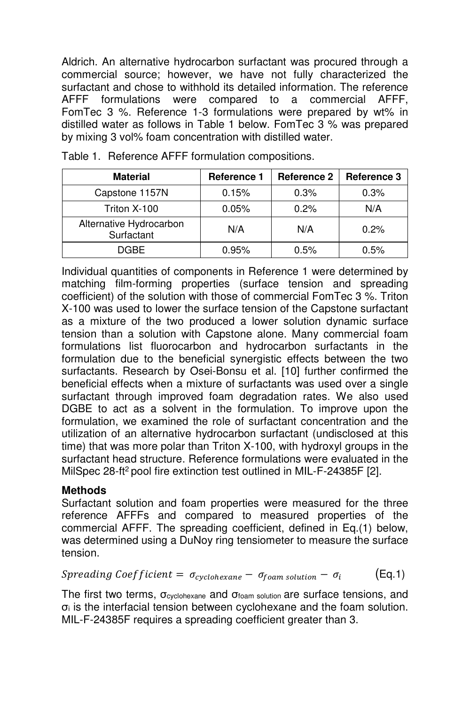Aldrich. An alternative hydrocarbon surfactant was procured through a commercial source; however, we have not fully characterized the surfactant and chose to withhold its detailed information. The reference AFFF formulations were compared to a commercial AFFF, FomTec 3 %. Reference 1-3 formulations were prepared by wt% in distilled water as follows in Table 1 below. FomTec 3 % was prepared by mixing 3 vol% foam concentration with distilled water.

| <b>Material</b>                       | <b>Reference 1</b> | <b>Reference 2</b> | <b>Reference 3</b> |  |
|---------------------------------------|--------------------|--------------------|--------------------|--|
| Capstone 1157N                        | 0.15%              | 0.3%               | 0.3%               |  |
| Triton X-100                          | 0.05%              | 0.2%               | N/A                |  |
| Alternative Hydrocarbon<br>Surfactant | N/A                | N/A                | 0.2%               |  |
| DGBE.                                 | 0.95%              | 0.5%               | 0.5%               |  |

Table 1. Reference AFFF formulation compositions.

Individual quantities of components in Reference 1 were determined by matching film-forming properties (surface tension and spreading coefficient) of the solution with those of commercial FomTec 3 %. Triton X-100 was used to lower the surface tension of the Capstone surfactant as a mixture of the two produced a lower solution dynamic surface tension than a solution with Capstone alone. Many commercial foam formulations list fluorocarbon and hydrocarbon surfactants in the formulation due to the beneficial synergistic effects between the two surfactants. Research by Osei-Bonsu et al. [10] further confirmed the beneficial effects when a mixture of surfactants was used over a single surfactant through improved foam degradation rates. We also used DGBE to act as a solvent in the formulation. To improve upon the formulation, we examined the role of surfactant concentration and the utilization of an alternative hydrocarbon surfactant (undisclosed at this time) that was more polar than Triton X-100, with hydroxyl groups in the surfactant head structure. Reference formulations were evaluated in the MilSpec 28-ft<sup>2</sup> pool fire extinction test outlined in MIL-F-24385F [2].

#### **Methods**

Surfactant solution and foam properties were measured for the three reference AFFFs and compared to measured properties of the commercial AFFF. The spreading coefficient, defined in Eq.(1) below, was determined using a DuNoy ring tensiometer to measure the surface tension.

Spreading Coefficient  $= \ \sigma_{\textit{cyclohexane}} - \ \sigma_{\textit{foam}\,\textit{solution}} - \ \sigma_{\textit{i}}$ (Eq.1)

The first two terms,  $\sigma_{\text{cyclohexane}}$  and  $\sigma_{\text{foam}$  solution are surface tensions, and σi is the interfacial tension between cyclohexane and the foam solution. MIL-F-24385F requires a spreading coefficient greater than 3.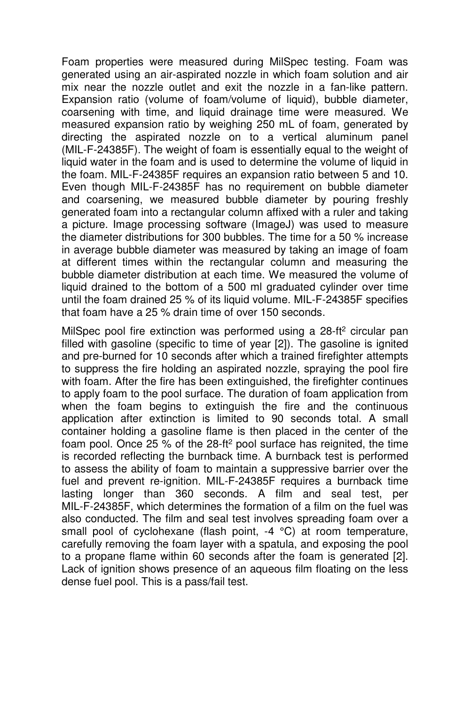Foam properties were measured during MilSpec testing. Foam was generated using an air-aspirated nozzle in which foam solution and air mix near the nozzle outlet and exit the nozzle in a fan-like pattern. Expansion ratio (volume of foam/volume of liquid), bubble diameter, coarsening with time, and liquid drainage time were measured. We measured expansion ratio by weighing 250 mL of foam, generated by directing the aspirated nozzle on to a vertical aluminum panel (MIL-F-24385F). The weight of foam is essentially equal to the weight of liquid water in the foam and is used to determine the volume of liquid in the foam. MIL-F-24385F requires an expansion ratio between 5 and 10. Even though MIL-F-24385F has no requirement on bubble diameter and coarsening, we measured bubble diameter by pouring freshly generated foam into a rectangular column affixed with a ruler and taking a picture. Image processing software (ImageJ) was used to measure the diameter distributions for 300 bubbles. The time for a 50 % increase in average bubble diameter was measured by taking an image of foam at different times within the rectangular column and measuring the bubble diameter distribution at each time. We measured the volume of liquid drained to the bottom of a 500 ml graduated cylinder over time until the foam drained 25 % of its liquid volume. MIL-F-24385F specifies that foam have a 25 % drain time of over 150 seconds.

MilSpec pool fire extinction was performed using a 28-ft<sup>2</sup> circular pan filled with gasoline (specific to time of year [2]). The gasoline is ignited and pre-burned for 10 seconds after which a trained firefighter attempts to suppress the fire holding an aspirated nozzle, spraying the pool fire with foam. After the fire has been extinguished, the firefighter continues to apply foam to the pool surface. The duration of foam application from when the foam begins to extinguish the fire and the continuous application after extinction is limited to 90 seconds total. A small container holding a gasoline flame is then placed in the center of the foam pool. Once 25 % of the 28-ft<sup>2</sup> pool surface has reignited, the time is recorded reflecting the burnback time. A burnback test is performed to assess the ability of foam to maintain a suppressive barrier over the fuel and prevent re-ignition. MIL-F-24385F requires a burnback time lasting longer than 360 seconds. A film and seal test, per MIL-F-24385F, which determines the formation of a film on the fuel was also conducted. The film and seal test involves spreading foam over a small pool of cyclohexane (flash point, -4 °C) at room temperature, carefully removing the foam layer with a spatula, and exposing the pool to a propane flame within 60 seconds after the foam is generated [2]. Lack of ignition shows presence of an aqueous film floating on the less dense fuel pool. This is a pass/fail test.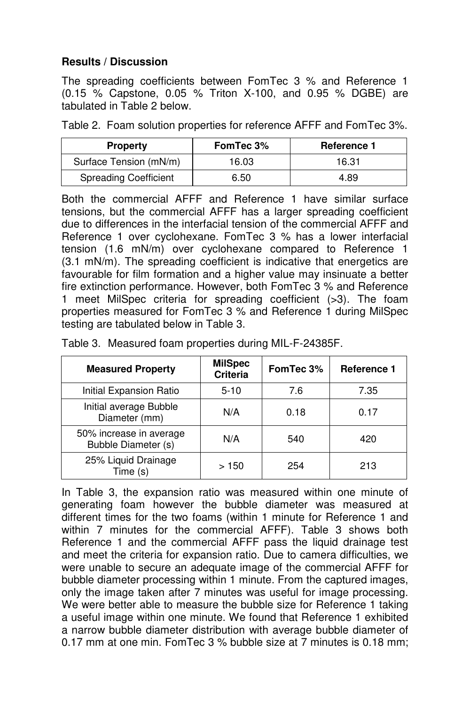## **Results / Discussion**

The spreading coefficients between FomTec 3 % and Reference 1 (0.15 % Capstone, 0.05 % Triton X-100, and 0.95 % DGBE) are tabulated in Table 2 below.

Table 2. Foam solution properties for reference AFFF and FomTec 3%.

| <b>Property</b>              | FomTec 3% | <b>Reference 1</b> |
|------------------------------|-----------|--------------------|
| Surface Tension (mN/m)       | 16.03     | 16.31              |
| <b>Spreading Coefficient</b> | 6.50      | 4.89               |

Both the commercial AFFF and Reference 1 have similar surface tensions, but the commercial AFFF has a larger spreading coefficient due to differences in the interfacial tension of the commercial AFFF and Reference 1 over cyclohexane. FomTec 3 % has a lower interfacial tension (1.6 mN/m) over cyclohexane compared to Reference 1 (3.1 mN/m). The spreading coefficient is indicative that energetics are favourable for film formation and a higher value may insinuate a better fire extinction performance. However, both FomTec 3 % and Reference 1 meet MilSpec criteria for spreading coefficient (>3). The foam properties measured for FomTec 3 % and Reference 1 during MilSpec testing are tabulated below in Table 3.

| <b>Measured Property</b>                       | <b>MilSpec</b><br><b>Criteria</b> | FomTec 3% | Reference 1 |
|------------------------------------------------|-----------------------------------|-----------|-------------|
| Initial Expansion Ratio                        | $5-10$                            | 7.6       | 7.35        |
| Initial average Bubble<br>Diameter (mm)        | N/A                               | 0.18      | 0.17        |
| 50% increase in average<br>Bubble Diameter (s) | N/A                               | 540       | 420         |
| 25% Liquid Drainage<br>Time (s)                | >150                              | 254       | 213         |

Table 3. Measured foam properties during MIL-F-24385F.

In Table 3, the expansion ratio was measured within one minute of generating foam however the bubble diameter was measured at different times for the two foams (within 1 minute for Reference 1 and within 7 minutes for the commercial AFFF). Table 3 shows both Reference 1 and the commercial AFFF pass the liquid drainage test and meet the criteria for expansion ratio. Due to camera difficulties, we were unable to secure an adequate image of the commercial AFFF for bubble diameter processing within 1 minute. From the captured images, only the image taken after 7 minutes was useful for image processing. We were better able to measure the bubble size for Reference 1 taking a useful image within one minute. We found that Reference 1 exhibited a narrow bubble diameter distribution with average bubble diameter of 0.17 mm at one min. FomTec 3 % bubble size at 7 minutes is 0.18 mm;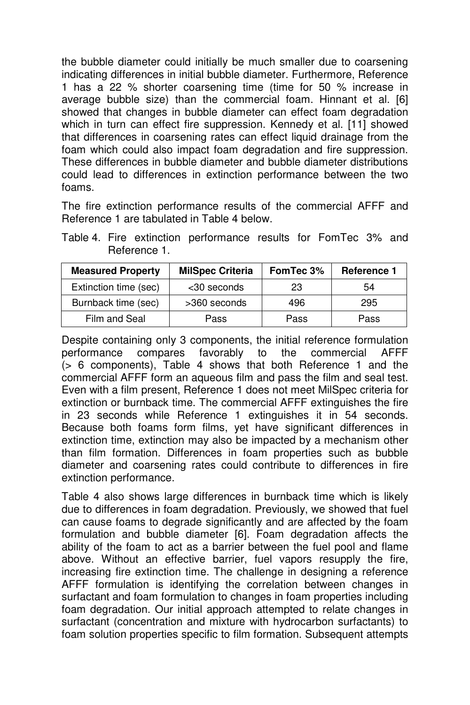the bubble diameter could initially be much smaller due to coarsening indicating differences in initial bubble diameter. Furthermore, Reference 1 has a 22 % shorter coarsening time (time for 50 % increase in average bubble size) than the commercial foam. Hinnant et al. [6] showed that changes in bubble diameter can effect foam degradation which in turn can effect fire suppression. Kennedy et al. [11] showed that differences in coarsening rates can effect liquid drainage from the foam which could also impact foam degradation and fire suppression. These differences in bubble diameter and bubble diameter distributions could lead to differences in extinction performance between the two foams.

The fire extinction performance results of the commercial AFFF and Reference 1 are tabulated in Table 4 below.

| <b>Measured Property</b> | <b>MilSpec Criteria</b> | Fom Tec 3% | <b>Reference 1</b> |
|--------------------------|-------------------------|------------|--------------------|
| Extinction time (sec)    | <30 seconds             | 23         | 54                 |
| Burnback time (sec)      | >360 seconds            | 496        | 295                |
| Film and Seal            | Pass                    | Pass       | Pass               |

Table 4. Fire extinction performance results for FomTec 3% and Reference 1.

Despite containing only 3 components, the initial reference formulation<br>performance compares favorably to the commercial AFFF performance compares favorably to the commercial (> 6 components), Table 4 shows that both Reference 1 and the commercial AFFF form an aqueous film and pass the film and seal test. Even with a film present, Reference 1 does not meet MilSpec criteria for extinction or burnback time. The commercial AFFF extinguishes the fire in 23 seconds while Reference 1 extinguishes it in 54 seconds. Because both foams form films, yet have significant differences in extinction time, extinction may also be impacted by a mechanism other than film formation. Differences in foam properties such as bubble diameter and coarsening rates could contribute to differences in fire extinction performance.

Table 4 also shows large differences in burnback time which is likely due to differences in foam degradation. Previously, we showed that fuel can cause foams to degrade significantly and are affected by the foam formulation and bubble diameter [6]. Foam degradation affects the ability of the foam to act as a barrier between the fuel pool and flame above. Without an effective barrier, fuel vapors resupply the fire, increasing fire extinction time. The challenge in designing a reference AFFF formulation is identifying the correlation between changes in surfactant and foam formulation to changes in foam properties including foam degradation. Our initial approach attempted to relate changes in surfactant (concentration and mixture with hydrocarbon surfactants) to foam solution properties specific to film formation. Subsequent attempts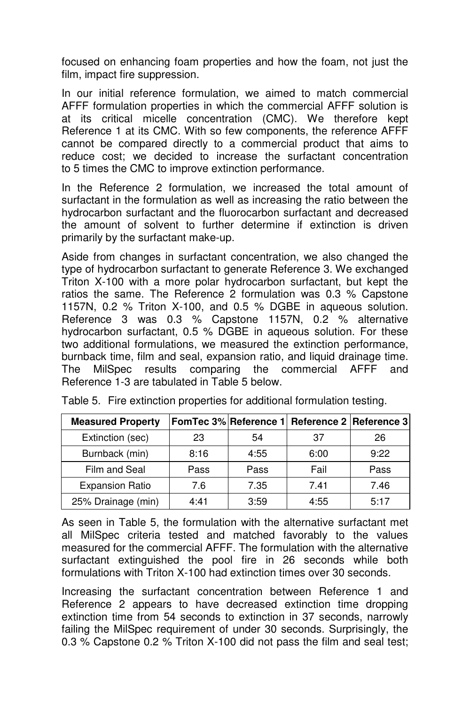focused on enhancing foam properties and how the foam, not just the film, impact fire suppression.

In our initial reference formulation, we aimed to match commercial AFFF formulation properties in which the commercial AFFF solution is at its critical micelle concentration (CMC). We therefore kept Reference 1 at its CMC. With so few components, the reference AFFF cannot be compared directly to a commercial product that aims to reduce cost; we decided to increase the surfactant concentration to 5 times the CMC to improve extinction performance.

In the Reference 2 formulation, we increased the total amount of surfactant in the formulation as well as increasing the ratio between the hydrocarbon surfactant and the fluorocarbon surfactant and decreased the amount of solvent to further determine if extinction is driven primarily by the surfactant make-up.

Aside from changes in surfactant concentration, we also changed the type of hydrocarbon surfactant to generate Reference 3. We exchanged Triton X-100 with a more polar hydrocarbon surfactant, but kept the ratios the same. The Reference 2 formulation was 0.3 % Capstone 1157N, 0.2 % Triton X-100, and 0.5 % DGBE in aqueous solution. Reference 3 was 0.3 % Capstone 1157N, 0.2 % alternative hydrocarbon surfactant, 0.5 % DGBE in aqueous solution. For these two additional formulations, we measured the extinction performance, burnback time, film and seal, expansion ratio, and liquid drainage time. The MilSpec results comparing the commercial AFFF and Reference 1-3 are tabulated in Table 5 below.

| <b>Measured Property</b> |      |      | Fom Tec 3% Reference 1 Reference 2 Reference 3 |      |
|--------------------------|------|------|------------------------------------------------|------|
| Extinction (sec)         | 23   | 54   | 37                                             | 26   |
| Burnback (min)           | 8:16 | 4:55 | 6:00                                           | 9:22 |
| Film and Seal            | Pass | Pass | Fail                                           | Pass |
| <b>Expansion Ratio</b>   | 7.6  | 7.35 | 7.41                                           | 7.46 |
| 25% Drainage (min)       | 4:41 | 3:59 | 4:55                                           | 5:17 |

Table 5. Fire extinction properties for additional formulation testing.

As seen in Table 5, the formulation with the alternative surfactant met all MilSpec criteria tested and matched favorably to the values measured for the commercial AFFF. The formulation with the alternative surfactant extinguished the pool fire in 26 seconds while both formulations with Triton X-100 had extinction times over 30 seconds.

Increasing the surfactant concentration between Reference 1 and Reference 2 appears to have decreased extinction time dropping extinction time from 54 seconds to extinction in 37 seconds, narrowly failing the MilSpec requirement of under 30 seconds. Surprisingly, the 0.3 % Capstone 0.2 % Triton X-100 did not pass the film and seal test;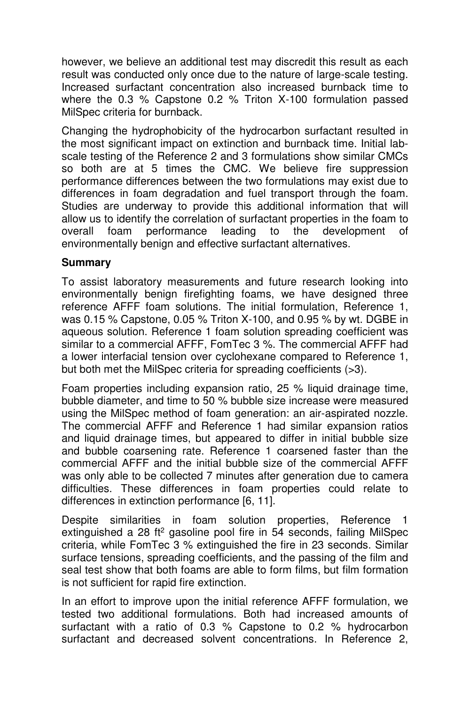however, we believe an additional test may discredit this result as each result was conducted only once due to the nature of large-scale testing. Increased surfactant concentration also increased burnback time to where the 0.3 % Capstone 0.2 % Triton X-100 formulation passed MilSpec criteria for burnback.

Changing the hydrophobicity of the hydrocarbon surfactant resulted in the most significant impact on extinction and burnback time. Initial labscale testing of the Reference 2 and 3 formulations show similar CMCs so both are at 5 times the CMC. We believe fire suppression performance differences between the two formulations may exist due to differences in foam degradation and fuel transport through the foam. Studies are underway to provide this additional information that will allow us to identify the correlation of surfactant properties in the foam to overall foam performance leading to the development of overall foam performance leading to the development of environmentally benign and effective surfactant alternatives.

#### **Summary**

To assist laboratory measurements and future research looking into environmentally benign firefighting foams, we have designed three reference AFFF foam solutions. The initial formulation, Reference 1, was 0.15 % Capstone, 0.05 % Triton X-100, and 0.95 % by wt. DGBE in aqueous solution. Reference 1 foam solution spreading coefficient was similar to a commercial AFFF, FomTec 3 %. The commercial AFFF had a lower interfacial tension over cyclohexane compared to Reference 1, but both met the MilSpec criteria for spreading coefficients (>3).

Foam properties including expansion ratio, 25 % liquid drainage time, bubble diameter, and time to 50 % bubble size increase were measured using the MilSpec method of foam generation: an air-aspirated nozzle. The commercial AFFF and Reference 1 had similar expansion ratios and liquid drainage times, but appeared to differ in initial bubble size and bubble coarsening rate. Reference 1 coarsened faster than the commercial AFFF and the initial bubble size of the commercial AFFF was only able to be collected 7 minutes after generation due to camera difficulties. These differences in foam properties could relate to differences in extinction performance [6, 11].

Despite similarities in foam solution properties, Reference 1 extinguished a 28 ft<sup>2</sup> gasoline pool fire in 54 seconds, failing MilSpec criteria, while FomTec 3 % extinguished the fire in 23 seconds. Similar surface tensions, spreading coefficients, and the passing of the film and seal test show that both foams are able to form films, but film formation is not sufficient for rapid fire extinction.

In an effort to improve upon the initial reference AFFF formulation, we tested two additional formulations. Both had increased amounts of surfactant with a ratio of 0.3 % Capstone to 0.2 % hydrocarbon surfactant and decreased solvent concentrations. In Reference 2,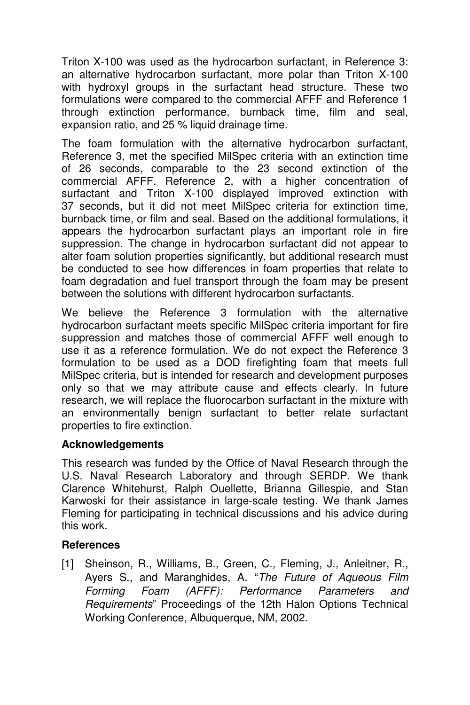Triton X-100 was used as the hydrocarbon surfactant, in Reference 3: an alternative hydrocarbon surfactant, more polar than Triton X-100 with hydroxyl groups in the surfactant head structure. These two formulations were compared to the commercial AFFF and Reference 1 through extinction performance, burnback time, film and seal, expansion ratio, and 25 % liquid drainage time.

The foam formulation with the alternative hydrocarbon surfactant, Reference 3, met the specified MilSpec criteria with an extinction time of 26 seconds, comparable to the 23 second extinction of the commercial AFFF. Reference 2, with a higher concentration of surfactant and Triton X-100 displayed improved extinction with 37 seconds, but it did not meet MilSpec criteria for extinction time, burnback time, or film and seal. Based on the additional formulations, it appears the hydrocarbon surfactant plays an important role in fire suppression. The change in hydrocarbon surfactant did not appear to alter foam solution properties significantly, but additional research must be conducted to see how differences in foam properties that relate to foam degradation and fuel transport through the foam may be present between the solutions with different hydrocarbon surfactants.

We believe the Reference 3 formulation with the alternative hydrocarbon surfactant meets specific MilSpec criteria important for fire suppression and matches those of commercial AFFF well enough to use it as a reference formulation. We do not expect the Reference 3 formulation to be used as a DOD firefighting foam that meets full MilSpec criteria, but is intended for research and development purposes only so that we may attribute cause and effects clearly. In future research, we will replace the fluorocarbon surfactant in the mixture with an environmentally benign surfactant to better relate surfactant properties to fire extinction.

## **Acknowledgements**

This research was funded by the Office of Naval Research through the U.S. Naval Research Laboratory and through SERDP. We thank Clarence Whitehurst, Ralph Ouellette, Brianna Gillespie, and Stan Karwoski for their assistance in large-scale testing. We thank James Fleming for participating in technical discussions and his advice during this work.

## **References**

[1] Sheinson, R., Williams, B., Green, C., Fleming, J., Anleitner, R., Ayers S., and Maranghides, A. "*The Future of Aqueous Film Forming Foam (AFFF): Performance Parameters and Requirements*" Proceedings of the 12th Halon Options Technical Working Conference, Albuquerque, NM, 2002.